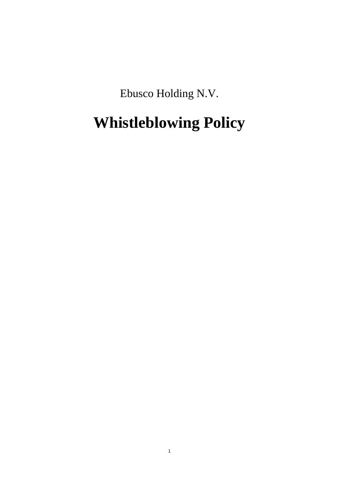Ebusco Holding N.V.

# **Whistleblowing Policy**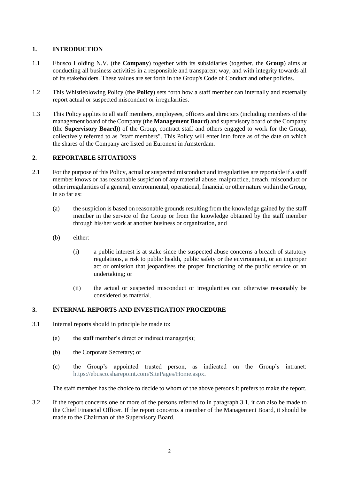# **1. INTRODUCTION**

- 1.1 Ebusco Holding N.V. (the **Company**) together with its subsidiaries (together, the **Group**) aims at conducting all business activities in a responsible and transparent way, and with integrity towards all of its stakeholders. These values are set forth in the Group's Code of Conduct and other policies.
- 1.2 This Whistleblowing Policy (the **Policy**) sets forth how a staff member can internally and externally report actual or suspected misconduct or irregularities.
- 1.3 This Policy applies to all staff members, employees, officers and directors (including members of the management board of the Company (the **Management Board**) and supervisory board of the Company (the **Supervisory Board**)) of the Group, contract staff and others engaged to work for the Group, collectively referred to as "staff members". This Policy will enter into force as of the date on which the shares of the Company are listed on Euronext in Amsterdam.

### **2. REPORTABLE SITUATIONS**

- 2.1 For the purpose of this Policy, actual or suspected misconduct and irregularities are reportable if a staff member knows or has reasonable suspicion of any material abuse, malpractice, breach, misconduct or other irregularities of a general, environmental, operational, financial or other nature within the Group, in so far as:
	- (a) the suspicion is based on reasonable grounds resulting from the knowledge gained by the staff member in the service of the Group or from the knowledge obtained by the staff member through his/her work at another business or organization, and
	- (b) either:
		- (i) a public interest is at stake since the suspected abuse concerns a breach of statutory regulations, a risk to public health, public safety or the environment, or an improper act or omission that jeopardises the proper functioning of the public service or an undertaking; or
		- (ii) the actual or suspected misconduct or irregularities can otherwise reasonably be considered as material.

## <span id="page-1-1"></span><span id="page-1-0"></span>**3. INTERNAL REPORTS AND INVESTIGATION PROCEDURE**

- 3.1 Internal reports should in principle be made to:
	- (a) the staff member's direct or indirect manager(s);
	- (b) the Corporate Secretary; or
	- (c) the Group's appointed trusted person, as indicated on the Group's intranet: [https://ebusco.sharepoint.com/SitePages/Home.aspx.](https://ebusco.sharepoint.com/SitePages/Home.aspx)

The staff member has the choice to decide to whom of the above persons it prefers to make the report.

3.2 If the report concerns one or more of the persons referred to in paragraph [3.1,](#page-1-0) it can also be made to the Chief Financial Officer. If the report concerns a member of the Management Board, it should be made to the Chairman of the Supervisory Board.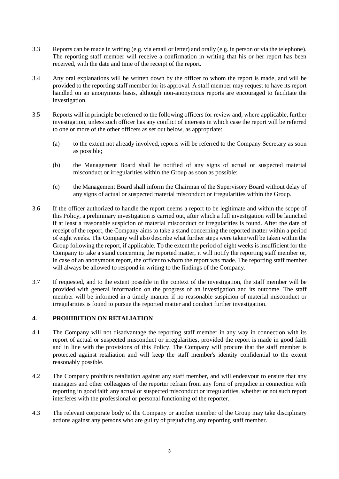- 3.3 Reports can be made in writing (e.g. via email or letter) and orally (e.g. in person or via the telephone). The reporting staff member will receive a confirmation in writing that his or her report has been received, with the date and time of the receipt of the report.
- 3.4 Any oral explanations will be written down by the officer to whom the report is made, and will be provided to the reporting staff member for its approval. A staff member may request to have its report handled on an anonymous basis, although non-anonymous reports are encouraged to facilitate the investigation.
- 3.5 Reports will in principle be referred to the following officers for review and, where applicable, further investigation, unless such officer has any conflict of interests in which case the report will be referred to one or more of the other officers as set out below, as appropriate:
	- (a) to the extent not already involved, reports will be referred to the Company Secretary as soon as possible;
	- (b) the Management Board shall be notified of any signs of actual or suspected material misconduct or irregularities within the Group as soon as possible;
	- (c) the Management Board shall inform the Chairman of the Supervisory Board without delay of any signs of actual or suspected material misconduct or irregularities within the Group.
- 3.6 If the officer authorized to handle the report deems a report to be legitimate and within the scope of this Policy, a preliminary investigation is carried out, after which a full investigation will be launched if at least a reasonable suspicion of material misconduct or irregularities is found. After the date of receipt of the report, the Company aims to take a stand concerning the reported matter within a period of eight weeks. The Company will also describe what further steps were taken/will be taken within the Group following the report, if applicable. To the extent the period of eight weeks is insufficient for the Company to take a stand concerning the reported matter, it will notify the reporting staff member or, in case of an anonymous report, the officer to whom the report was made. The reporting staff member will always be allowed to respond in writing to the findings of the Company.
- 3.7 If requested, and to the extent possible in the context of the investigation, the staff member will be provided with general information on the progress of an investigation and its outcome. The staff member will be informed in a timely manner if no reasonable suspicion of material misconduct or irregularities is found to pursue the reported matter and conduct further investigation.

### **4. PROHIBITION ON RETALIATION**

- 4.1 The Company will not disadvantage the reporting staff member in any way in connection with its report of actual or suspected misconduct or irregularities, provided the report is made in good faith and in line with the provisions of this Policy. The Company will procure that the staff member is protected against retaliation and will keep the staff member's identity confidential to the extent reasonably possible.
- 4.2 The Company prohibits retaliation against any staff member, and will endeavour to ensure that any managers and other colleagues of the reporter refrain from any form of prejudice in connection with reporting in good faith any actual or suspected misconduct or irregularities, whether or not such report interferes with the professional or personal functioning of the reporter.
- 4.3 The relevant corporate body of the Company or another member of the Group may take disciplinary actions against any persons who are guilty of prejudicing any reporting staff member.